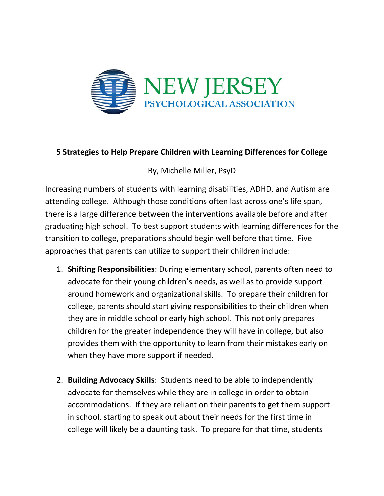

## 5 Strategies to Help Prepare Children with Learning Differences for College

By, Michelle Miller, PsyD

Increasing numbers of students with learning disabilities, ADHD, and Autism are attending college. Although those conditions often last across one's life span, there is a large difference between the interventions available before and after graduating high school. To best support students with learning differences for the transition to college, preparations should begin well before that time. Five approaches that parents can utilize to support their children include:

- 1. Shifting Responsibilities: During elementary school, parents often need to advocate for their young children's needs, as well as to provide support around homework and organizational skills. To prepare their children for college, parents should start giving responsibilities to their children when they are in middle school or early high school. This not only prepares children for the greater independence they will have in college, but also provides them with the opportunity to learn from their mistakes early on when they have more support if needed.
- 2. Building Advocacy Skills: Students need to be able to independently advocate for themselves while they are in college in order to obtain accommodations. If they are reliant on their parents to get them support in school, starting to speak out about their needs for the first time in college will likely be a daunting task. To prepare for that time, students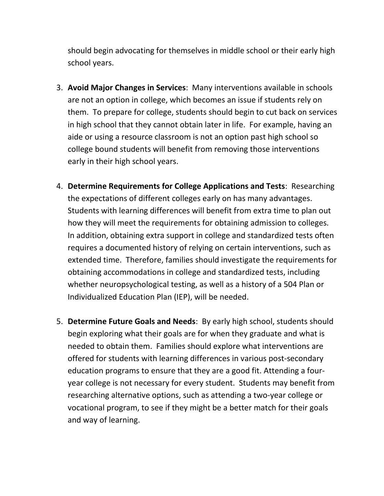should begin advocating for themselves in middle school or their early high school years.

- 3. Avoid Major Changes in Services: Many interventions available in schools are not an option in college, which becomes an issue if students rely on them. To prepare for college, students should begin to cut back on services in high school that they cannot obtain later in life. For example, having an aide or using a resource classroom is not an option past high school so college bound students will benefit from removing those interventions early in their high school years.
- 4. Determine Requirements for College Applications and Tests: Researching the expectations of different colleges early on has many advantages. Students with learning differences will benefit from extra time to plan out how they will meet the requirements for obtaining admission to colleges. In addition, obtaining extra support in college and standardized tests often requires a documented history of relying on certain interventions, such as extended time. Therefore, families should investigate the requirements for obtaining accommodations in college and standardized tests, including whether neuropsychological testing, as well as a history of a 504 Plan or Individualized Education Plan (IEP), will be needed.
- 5. Determine Future Goals and Needs: By early high school, students should begin exploring what their goals are for when they graduate and what is needed to obtain them. Families should explore what interventions are offered for students with learning differences in various post-secondary education programs to ensure that they are a good fit. Attending a fouryear college is not necessary for every student. Students may benefit from researching alternative options, such as attending a two-year college or vocational program, to see if they might be a better match for their goals and way of learning.